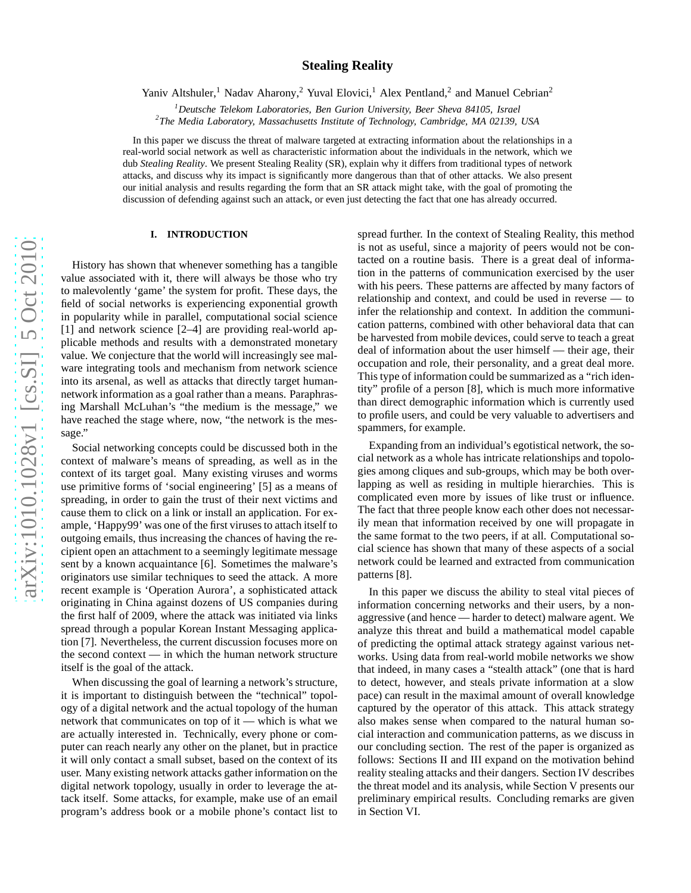# **Stealing Reality**

Yaniv Altshuler,<sup>1</sup> Nadav Aharony,<sup>2</sup> Yuval Elovici,<sup>1</sup> Alex Pentland,<sup>2</sup> and Manuel Cebrian<sup>2</sup>

*<sup>1</sup>Deutsche Telekom Laboratories, Ben Gurion University, Beer Sheva 84105, Israel*

*2 The Media Laboratory, Massachusetts Institute of Technology, Cambridge, MA 02139, USA*

In this paper we discuss the threat of malware targeted at extracting information about the relationships in a real-world social network as well as characteristic information about the individuals in the network, which we dub *Stealing Reality*. We present Stealing Reality (SR), explain why it differs from traditional types of network attacks, and discuss why its impact is significantly more dangerous than that of other attacks. We also present our initial analysis and results regarding the form that an SR attack might take, with the goal of promoting the discussion of defending against such an attack, or even just detecting the fact that one has already occurred.

## **I. INTRODUCTION**

History has shown that whenever something has a tangible value associated with it, there will always be those who try to malevolently 'game' the system for profit. These days, the field of social networks is experiencing exponential growth in popularity while in parallel, computational social science [1] and network science [2–4] are providing real-world applicable methods and results with a demonstrated monetary value. We conjecture that the world will increasingly see malware integrating tools and mechanism from network science into its arsenal, as well as attacks that directly target humannetwork information as a goal rather than a means. Paraphrasing Marshall McLuhan's "the medium is the message," we have reached the stage where, now, "the network is the message."

Social networking concepts could be discussed both in the context of malware's means of spreading, as well as in the context of its target goal. Many existing viruses and worms use primitive forms of 'social engineering' [5] as a means of spreading, in order to gain the trust of their next victims an d cause them to click on a link or install an application. For ex ample, 'Happy99' was one of the first viruses to attach itself to outgoing emails, thus increasing the chances of having the recipient open an attachment to a seemingly legitimate message sent by a known acquaintance [6]. Sometimes the malware's originators use similar techniques to seed the attack. A mor e recent example is 'Operation Aurora', a sophisticated attack originating in China against dozens of US companies during the first half of 2009, where the attack was initiated via link s spread through a popular Korean Instant Messaging application [7]. Nevertheless, the current discussion focuses more on the second context — in which the human network structure itself is the goal of the attack.

When discussing the goal of learning a network's structure, it is important to distinguish between the "technical" topology of a digital network and the actual topology of the human network that communicates on top of it — which is what we are actually interested in. Technically, every phone or com puter can reach nearly any other on the planet, but in practic e it will only contact a small subset, based on the context of it s user. Many existing network attacks gather information on the digital network topology, usually in order to leverage the attack itself. Some attacks, for example, make use of an email program's address book or a mobile phone's contact list to spread further. In the context of Stealing Reality, this method is not as useful, since a majority of peers would not be contacted on a routine basis. There is a great deal of information in the patterns of communication exercised by the user with his peers. These patterns are affected by many factors o f relationship and context, and could be used in reverse — to infer the relationship and context. In addition the communi cation patterns, combined with other behavioral data that can be harvested from mobile devices, could serve to teach a grea t deal of information about the user himself — their age, their occupation and role, their personality, and a great deal more. This type of information could be summarized as a "rich identity" profile of a person [8], which is much more informative than direct demographic information which is currently use d to profile users, and could be very valuable to advertisers an d spammers, for example.

Expanding from an individual's egotistical network, the so cial network as a whole has intricate relationships and topologies among cliques and sub-groups, which may be both overlapping as well as residing in multiple hierarchies. This is complicated even more by issues of like trust or influence. The fact that three people know each other does not necessarily mean that information received by one will propagate in the same format to the two peers, if at all. Computational social science has shown that many of these aspects of a social network could be learned and extracted from communication patterns [8].

In this paper we discuss the ability to steal vital pieces of information concerning networks and their users, by a nonaggressive (and hence — harder to detect) malware agent. We analyze this threat and build a mathematical model capable of predicting the optimal attack strategy against various networks. Using data from real-world mobile networks we show that indeed, in many cases a "stealth attack" (one that is har d to detect, however, and steals private information at a slow pace) can result in the maximal amount of overall knowledge captured by the operator of this attack. This attack strategy also makes sense when compared to the natural human social interaction and communication patterns, as we discuss in our concluding section. The rest of the paper is organized as follows: Sections II and III expand on the motivation behind reality stealing attacks and their dangers. Section IV describes the threat model and its analysis, while Section V presents our preliminary empirical results. Concluding remarks are given in Section VI.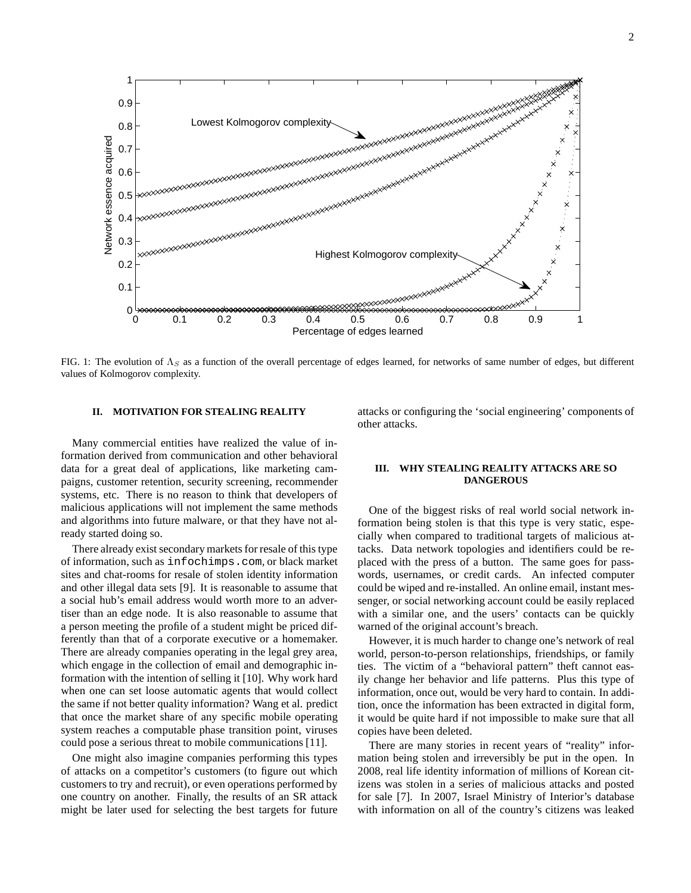

FIG. 1: The evolution of  $\Lambda_S$  as a function of the overall percentage of edges learned, for networks of same number of edges, but different values of Kolmogorov complexity.

## **II. MOTIVATION FOR STEALING REALITY**

Many commercial entities have realized the value of information derived from communication and other behavioral data for a great deal of applications, like marketing campaigns, customer retention, security screening, recommender systems, etc. There is no reason to think that developers of malicious applications will not implement the same methods and algorithms into future malware, or that they have not already started doing so.

There already exist secondary markets for resale of this type of information, such as infochimps.com, or black market sites and chat-rooms for resale of stolen identity information and other illegal data sets [9]. It is reasonable to assume that a social hub's email address would worth more to an advertiser than an edge node. It is also reasonable to assume that a person meeting the profile of a student might be priced differently than that of a corporate executive or a homemaker. There are already companies operating in the legal grey area, which engage in the collection of email and demographic information with the intention of selling it [10]. Why work hard when one can set loose automatic agents that would collect the same if not better quality information? Wang et al. predict that once the market share of any specific mobile operating system reaches a computable phase transition point, viruses could pose a serious threat to mobile communications [11].

One might also imagine companies performing this types of attacks on a competitor's customers (to figure out which customers to try and recruit), or even operations performed by one country on another. Finally, the results of an SR attack might be later used for selecting the best targets for future attacks or configuring the 'social engineering' components of other attacks.

## **III. WHY STEALING REALITY ATTACKS ARE SO DANGEROUS**

One of the biggest risks of real world social network information being stolen is that this type is very static, especially when compared to traditional targets of malicious attacks. Data network topologies and identifiers could be replaced with the press of a button. The same goes for passwords, usernames, or credit cards. An infected computer could be wiped and re-installed. An online email, instant messenger, or social networking account could be easily replaced with a similar one, and the users' contacts can be quickly warned of the original account's breach.

However, it is much harder to change one's network of real world, person-to-person relationships, friendships, or family ties. The victim of a "behavioral pattern" theft cannot easily change her behavior and life patterns. Plus this type of information, once out, would be very hard to contain. In addition, once the information has been extracted in digital form, it would be quite hard if not impossible to make sure that all copies have been deleted.

There are many stories in recent years of "reality" information being stolen and irreversibly be put in the open. In 2008, real life identity information of millions of Korean citizens was stolen in a series of malicious attacks and posted for sale [7]. In 2007, Israel Ministry of Interior's database with information on all of the country's citizens was leaked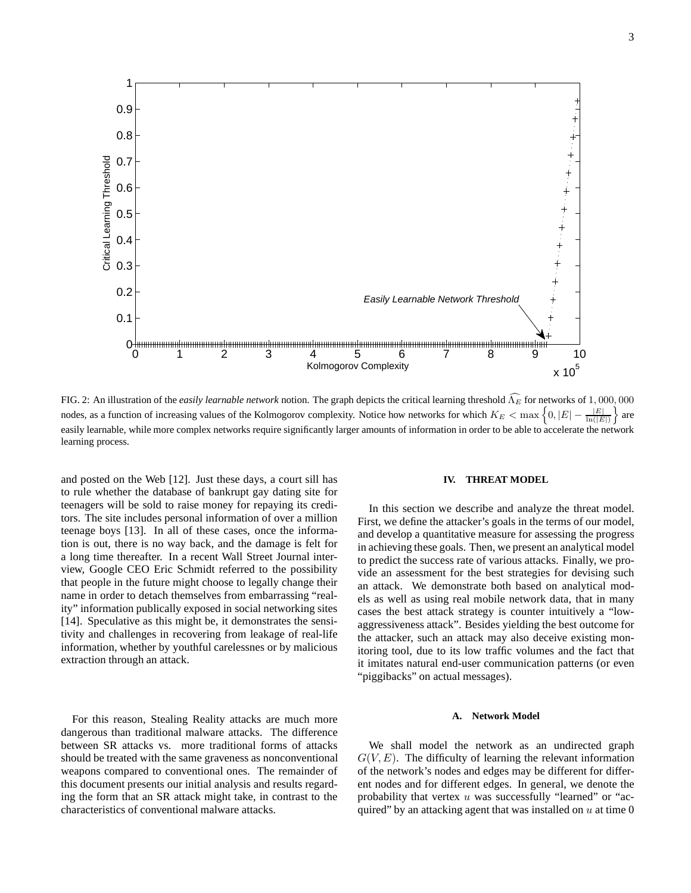

FIG. 2: An illustration of the *easily learnable network* notion. The graph depicts the critical learning threshold  $\hat{\Lambda}_E$  for networks of 1,000,000 nodes, as a function of increasing values of the Kolmogorov complexity. Notice how networks for which  $K_E < \max\left\{0, |E| - \frac{|E|}{\ln(|E|)}\right\}$  $\int$  are easily learnable, while more complex networks require significantly larger amounts of information in order to be able to accelerate the network learning process.

and posted on the Web [12]. Just these days, a court sill has to rule whether the database of bankrupt gay dating site for teenagers will be sold to raise money for repaying its creditors. The site includes personal information of over a million teenage boys [13]. In all of these cases, once the information is out, there is no way back, and the damage is felt for a long time thereafter. In a recent Wall Street Journal interview, Google CEO Eric Schmidt referred to the possibility that people in the future might choose to legally change their name in order to detach themselves from embarrassing "reality" information publically exposed in social networking sites [14]. Speculative as this might be, it demonstrates the sensitivity and challenges in recovering from leakage of real-life information, whether by youthful carelessnes or by malicious extraction through an attack.

For this reason, Stealing Reality attacks are much more dangerous than traditional malware attacks. The difference between SR attacks vs. more traditional forms of attacks should be treated with the same graveness as nonconventional weapons compared to conventional ones. The remainder of this document presents our initial analysis and results regarding the form that an SR attack might take, in contrast to the characteristics of conventional malware attacks.

## **IV. THREAT MODEL**

In this section we describe and analyze the threat model. First, we define the attacker's goals in the terms of our model, and develop a quantitative measure for assessing the progress in achieving these goals. Then, we present an analytical model to predict the success rate of various attacks. Finally, we provide an assessment for the best strategies for devising such an attack. We demonstrate both based on analytical models as well as using real mobile network data, that in many cases the best attack strategy is counter intuitively a "lowaggressiveness attack". Besides yielding the best outcome for the attacker, such an attack may also deceive existing monitoring tool, due to its low traffic volumes and the fact that it imitates natural end-user communication patterns (or even "piggibacks" on actual messages).

#### **A. Network Model**

We shall model the network as an undirected graph  $G(V, E)$ . The difficulty of learning the relevant information of the network's nodes and edges may be different for different nodes and for different edges. In general, we denote the probability that vertex u was successfully "learned" or "acquired" by an attacking agent that was installed on  $u$  at time 0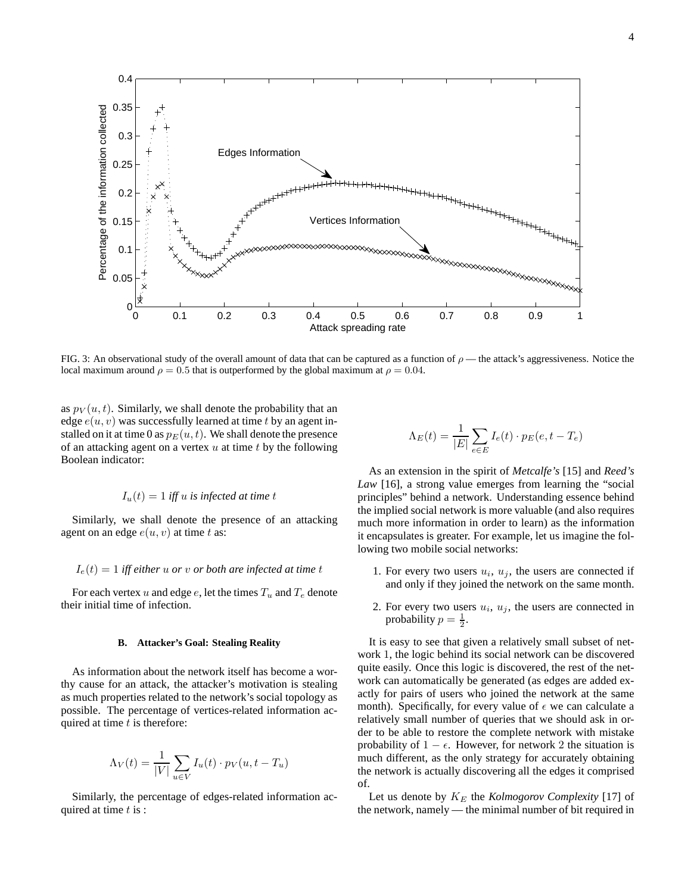0.4 0.35 Percentage of the information collected Percentage of the information collected 0.3 Edges Information 0.25 0.2 0.15 Vertices Information 0.1 0.05  $0^\mathsf{C}_0$ 0 0.1 0.2 0.3 0.4 0.5 0.6 0.7 0.8 0.9 1 Attack spreading rate

FIG. 3: An observational study of the overall amount of data that can be captured as a function of  $\rho$ —the attack's aggressiveness. Notice the local maximum around  $\rho = 0.5$  that is outperformed by the global maximum at  $\rho = 0.04$ .

as  $p_V(u, t)$ . Similarly, we shall denote the probability that an edge  $e(u, v)$  was successfully learned at time t by an agent installed on it at time 0 as  $p_E(u, t)$ . We shall denote the presence of an attacking agent on a vertex  $u$  at time  $t$  by the following Boolean indicator:

$$
I_u(t) = 1
$$
 iff u is infected at time t

Similarly, we shall denote the presence of an attacking agent on an edge  $e(u, v)$  at time t as:

## $I_e(t) = 1$  *iff either* u *or* v *or both are infected at time t*

For each vertex u and edge e, let the times  $T_u$  and  $T_e$  denote their initial time of infection.

#### **B. Attacker's Goal: Stealing Reality**

As information about the network itself has become a worthy cause for an attack, the attacker's motivation is stealing as much properties related to the network's social topology as possible. The percentage of vertices-related information acquired at time  $t$  is therefore:

$$
\Lambda_V(t) = \frac{1}{|V|} \sum_{u \in V} I_u(t) \cdot p_V(u, t - T_u)
$$

Similarly, the percentage of edges-related information acquired at time  $t$  is :

$$
\Lambda_E(t) = \frac{1}{|E|} \sum_{e \in E} I_e(t) \cdot p_E(e, t - T_e)
$$

As an extension in the spirit of *Metcalfe's* [15] and *Reed's Law* [16], a strong value emerges from learning the "social principles" behind a network. Understanding essence behind the implied social network is more valuable (and also requires much more information in order to learn) as the information it encapsulates is greater. For example, let us imagine the following two mobile social networks:

- 1. For every two users  $u_i$ ,  $u_j$ , the users are connected if and only if they joined the network on the same month.
- 2. For every two users  $u_i$ ,  $u_j$ , the users are connected in probability  $p = \frac{1}{2}$ .

It is easy to see that given a relatively small subset of network 1, the logic behind its social network can be discovered quite easily. Once this logic is discovered, the rest of the network can automatically be generated (as edges are added exactly for pairs of users who joined the network at the same month). Specifically, for every value of  $\epsilon$  we can calculate a relatively small number of queries that we should ask in order to be able to restore the complete network with mistake probability of  $1 - \epsilon$ . However, for network 2 the situation is much different, as the only strategy for accurately obtaining the network is actually discovering all the edges it comprised of.

Let us denote by  $K_E$  the *Kolmogorov Complexity* [17] of the network, namely — the minimal number of bit required in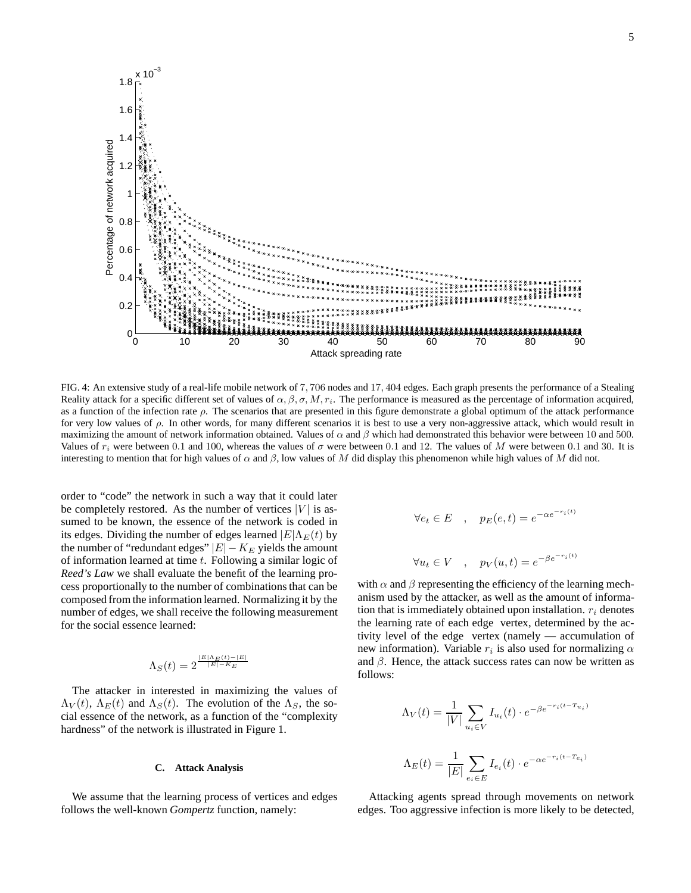

FIG. 4: An extensive study of a real-life mobile network of 7, 706 nodes and 17, 404 edges. Each graph presents the performance of a Stealing Reality attack for a specific different set of values of  $\alpha, \beta, \sigma, M, r_i$ . The performance is measured as the percentage of information acquired, as a function of the infection rate  $\rho$ . The scenarios that are presented in this figure demonstrate a global optimum of the attack performance for very low values of  $\rho$ . In other words, for many different scenarios it is best to use a very non-aggressive attack, which would result in maximizing the amount of network information obtained. Values of  $\alpha$  and  $\beta$  which had demonstrated this behavior were between 10 and 500. Values of  $r_i$  were between 0.1 and 100, whereas the values of  $\sigma$  were between 0.1 and 12. The values of M were between 0.1 and 30. It is interesting to mention that for high values of  $\alpha$  and  $\beta$ , low values of M did display this phenomenon while high values of M did not.

order to "code" the network in such a way that it could later be completely restored. As the number of vertices  $|V|$  is assumed to be known, the essence of the network is coded in its edges. Dividing the number of edges learned  $|E|\Lambda_E(t)$  by the number of "redundant edges"  $|E| - K_E$  yields the amount of information learned at time  $t$ . Following a similar logic of *Reed's Law* we shall evaluate the benefit of the learning process proportionally to the number of combinations that can be composed from the information learned. Normalizing it by the number of edges, we shall receive the following measurement for the social essence learned:

$$
\Lambda_S(t)=2^{\frac{|E|\Lambda_E(t)-|E|}{|E|-K_E}}
$$

The attacker in interested in maximizing the values of  $\Lambda_V(t)$ ,  $\Lambda_E(t)$  and  $\Lambda_S(t)$ . The evolution of the  $\Lambda_S$ , the social essence of the network, as a function of the "complexity hardness" of the network is illustrated in Figure 1.

## **C. Attack Analysis**

We assume that the learning process of vertices and edges follows the well-known *Gompertz* function, namely:

$$
\forall e_t \in E \quad , \quad p_E(e, t) = e^{-\alpha e^{-r_i(t)}}
$$

$$
\forall u_t \in V \quad , \quad p_V(u, t) = e^{-\beta e^{-r_i(t)}}
$$

with  $\alpha$  and  $\beta$  representing the efficiency of the learning mechanism used by the attacker, as well as the amount of information that is immediately obtained upon installation.  $r_i$  denotes the learning rate of each edge vertex, determined by the activity level of the edge vertex (namely — accumulation of new information). Variable  $r_i$  is also used for normalizing  $\alpha$ and  $\beta$ . Hence, the attack success rates can now be written as follows:

$$
\Lambda_V(t) = \frac{1}{|V|} \sum_{u_i \in V} I_{u_i}(t) \cdot e^{-\beta e^{-r_i(t - T_{u_i})}}
$$

$$
\Lambda_E(t) = \frac{1}{|E|} \sum_{e_i \in E} I_{e_i}(t) \cdot e^{-\alpha e^{-r_i(t - T_{e_i})}}
$$

Attacking agents spread through movements on network edges. Too aggressive infection is more likely to be detected,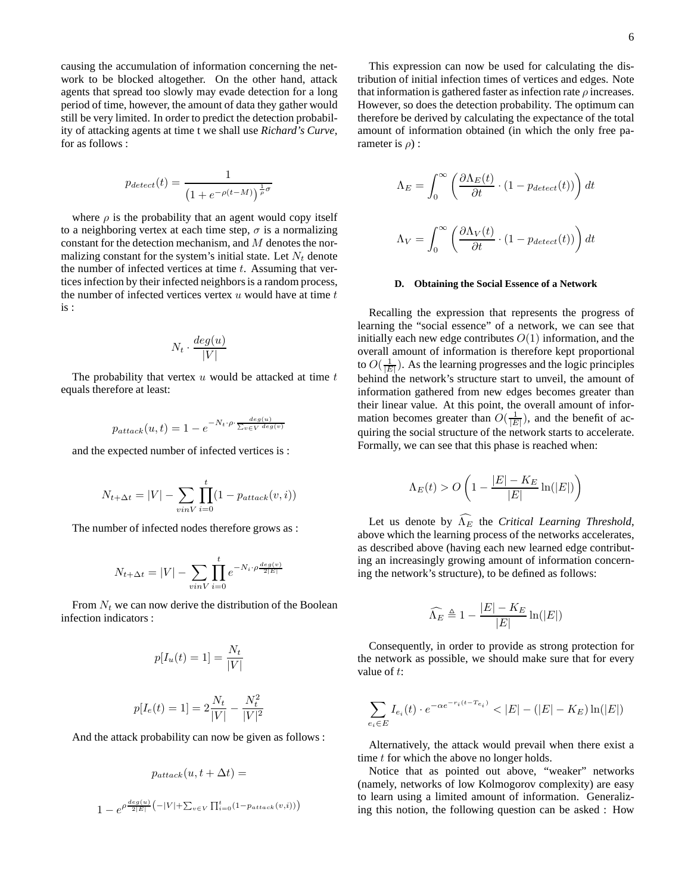causing the accumulation of information concerning the network to be blocked altogether. On the other hand, attack agents that spread too slowly may evade detection for a long period of time, however, the amount of data they gather would still be very limited. In order to predict the detection probability of attacking agents at time t we shall use *Richard's Curve*, for as follows :

$$
p_{detect}(t) = \frac{1}{\left(1 + e^{-\rho(t-M)}\right)^{\frac{1}{\rho}\sigma}}
$$

where  $\rho$  is the probability that an agent would copy itself to a neighboring vertex at each time step,  $\sigma$  is a normalizing constant for the detection mechanism, and M denotes the normalizing constant for the system's initial state. Let  $N_t$  denote the number of infected vertices at time  $t$ . Assuming that vertices infection by their infected neighbors is a random process, the number of infected vertices vertex  $u$  would have at time  $t$ is :

$$
N_t \cdot \frac{deg(u)}{|V|}
$$

The probability that vertex  $u$  would be attacked at time  $t$ equals therefore at least:

$$
p_{attack}(u, t) = 1 - e^{-N_t \cdot \rho \cdot \frac{deg(u)}{\sum_{v \in V} deg(v)}}
$$

and the expected number of infected vertices is :

$$
N_{t+\Delta t} = |V| - \sum_{v \in V} \prod_{i=0}^{t} (1 - p_{attack}(v, i))
$$

The number of infected nodes therefore grows as :

$$
N_{t+\Delta t} = |V| - \sum_{v \in V} \prod_{i=0}^{t} e^{-N_i \cdot \rho \frac{deg(v)}{2|E|}}
$$

From  $N_t$  we can now derive the distribution of the Boolean infection indicators :

$$
p[I_u(t) = 1] = \frac{N_t}{|V|}
$$

$$
p[I_e(t) = 1] = 2\frac{N_t}{|V|} - \frac{N_t^2}{|V|^2}
$$

And the attack probability can now be given as follows :

$$
p_{attack}(u, t + \Delta t) =
$$
  

$$
1 - e^{\rho \frac{deg(u)}{2|E|} \left(-|V| + \sum_{v \in V} \prod_{i=0}^{t} (1 - p_{attack}(v, i))\right)}
$$

This expression can now be used for calculating the distribution of initial infection times of vertices and edges. Note that information is gathered faster as infection rate  $\rho$  increases. However, so does the detection probability. The optimum can therefore be derived by calculating the expectance of the total amount of information obtained (in which the only free parameter is  $\rho$ ) :

$$
\Lambda_E = \int_0^\infty \left( \frac{\partial \Lambda_E(t)}{\partial t} \cdot (1 - p_{detect}(t)) \right) dt
$$
  

$$
\Lambda_V = \int_0^\infty \left( \frac{\partial \Lambda_V(t)}{\partial t} \cdot (1 - p_{detect}(t)) \right) dt
$$

#### **D. Obtaining the Social Essence of a Network**

Recalling the expression that represents the progress of learning the "social essence" of a network, we can see that initially each new edge contributes  $O(1)$  information, and the overall amount of information is therefore kept proportional to  $O(\frac{1}{|E|})$ . As the learning progresses and the logic principles behind the network's structure start to unveil, the amount of information gathered from new edges becomes greater than their linear value. At this point, the overall amount of information becomes greater than  $O(\frac{1}{|E|})$ , and the benefit of acquiring the social structure of the network starts to accelerate. Formally, we can see that this phase is reached when:

$$
\Lambda_E(t) > O\left(1 - \frac{|E| - K_E}{|E|} \ln(|E|)\right)
$$

Let us denote by  $\widehat{\Lambda_E}$  the *Critical Learning Threshold*, above which the learning process of the networks accelerates, as described above (having each new learned edge contributing an increasingly growing amount of information concerning the network's structure), to be defined as follows:

$$
\widehat{\Lambda_E} \triangleq 1 - \frac{|E| - K_E}{|E|} \ln(|E|)
$$

Consequently, in order to provide as strong protection for the network as possible, we should make sure that for every value of  $t$ :

$$
\sum_{e_i \in E} I_{e_i}(t) \cdot e^{-\alpha e^{-r_i(t - T_{e_i})}} < |E| - (|E| - K_E) \ln(|E|)
$$

Alternatively, the attack would prevail when there exist a time t for which the above no longer holds.

Notice that as pointed out above, "weaker" networks (namely, networks of low Kolmogorov complexity) are easy to learn using a limited amount of information. Generalizing this notion, the following question can be asked : How